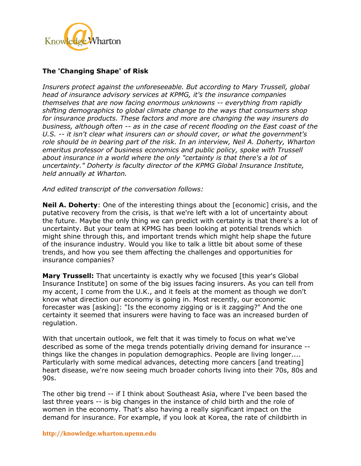

## **The 'Changing Shape' of Risk**

*Insurers protect against the unforeseeable. But according to Mary Trussell, global head of insurance advisory services at KPMG, it's the insurance companies themselves that are now facing enormous unknowns -- everything from rapidly shifting demographics to global climate change to the ways that consumers shop for insurance products. These factors and more are changing the way insurers do business, although often -- as in the case of recent flooding on the East coast of the U.S. -- it isn't clear what insurers can or should cover, or what the government's*  role should be in bearing part of the risk. In an interview, Neil A. Doherty, Wharton *emeritus professor of business economics and public policy, spoke with Trussell about insurance in a world where the only "certainty is that there's a lot of uncertainty." Doherty is faculty director of the KPMG Global Insurance Institute, held annually at Wharton.* 

*And edited transcript of the conversation follows:*

**Neil A. Doherty**: One of the interesting things about the [economic] crisis, and the putative recovery from the crisis, is that we're left with a lot of uncertainty about the future. Maybe the only thing we can predict with certainty is that there's a lot of uncertainty. But your team at KPMG has been looking at potential trends which might shine through this, and important trends which might help shape the future of the insurance industry. Would you like to talk a little bit about some of these trends, and how you see them affecting the challenges and opportunities for insurance companies?

**Mary Trussell:** That uncertainty is exactly why we focused [this year's Global] Insurance Institute] on some of the big issues facing insurers. As you can tell from my accent, I come from the U.K., and it feels at the moment as though we don't know what direction our economy is going in. Most recently, our economic forecaster was [asking]: "Is the economy zigging or is it zagging?" And the one certainty it seemed that insurers were having to face was an increased burden of regulation.

With that uncertain outlook, we felt that it was timely to focus on what we've described as some of the mega trends potentially driving demand for insurance - things like the changes in population demographics. People are living longer.... Particularly with some medical advances, detecting more cancers [and treating] heart disease, we're now seeing much broader cohorts living into their 70s, 80s and 90s.

The other big trend -- if I think about Southeast Asia, where I've been based the last three years -- is big changes in the instance of child birth and the role of women in the economy. That's also having a really significant impact on the demand for insurance. For example, if you look at Korea, the rate of childbirth in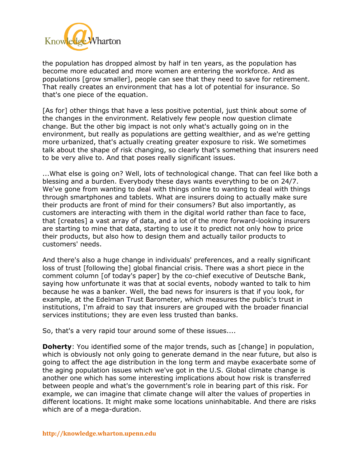

the population has dropped almost by half in ten years, as the population has become more educated and more women are entering the workforce. And as populations [grow smaller], people can see that they need to save for retirement. That really creates an environment that has a lot of potential for insurance. So that's one piece of the equation.

[As for] other things that have a less positive potential, just think about some of the changes in the environment. Relatively few people now question climate change. But the other big impact is not only what's actually going on in the environment, but really as populations are getting wealthier, and as we're getting more urbanized, that's actually creating greater exposure to risk. We sometimes talk about the shape of risk changing, so clearly that's something that insurers need to be very alive to. And that poses really significant issues.

...What else is going on? Well, lots of technological change. That can feel like both a blessing and a burden. Everybody these days wants everything to be on 24/7. We've gone from wanting to deal with things online to wanting to deal with things through smartphones and tablets. What are insurers doing to actually make sure their products are front of mind for their consumers? But also importantly, as customers are interacting with them in the digital world rather than face to face, that [creates] a vast array of data, and a lot of the more forward-looking insurers are starting to mine that data, starting to use it to predict not only how to price their products, but also how to design them and actually tailor products to customers' needs.

And there's also a huge change in individuals' preferences, and a really significant loss of trust [following the] global financial crisis. There was a short piece in the comment column [of today's paper] by the co-chief executive of Deutsche Bank, saying how unfortunate it was that at social events, nobody wanted to talk to him because he was a banker. Well, the bad news for insurers is that if you look, for example, at the Edelman Trust Barometer, which measures the public's trust in institutions, I'm afraid to say that insurers are grouped with the broader financial services institutions; they are even less trusted than banks.

So, that's a very rapid tour around some of these issues....

**Doherty:** You identified some of the major trends, such as [change] in population, which is obviously not only going to generate demand in the near future, but also is going to affect the age distribution in the long term and maybe exacerbate some of the aging population issues which we've got in the U.S. Global climate change is another one which has some interesting implications about how risk is transferred between people and what's the government's role in bearing part of this risk. For example, we can imagine that climate change will alter the values of properties in different locations. It might make some locations uninhabitable. And there are risks which are of a mega-duration.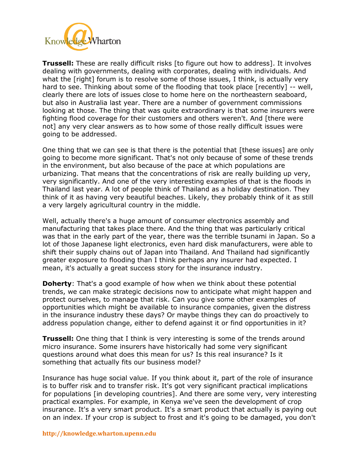

**Trussell:** These are really difficult risks [to figure out how to address]. It involves dealing with governments, dealing with corporates, dealing with individuals. And what the [right] forum is to resolve some of those issues, I think, is actually very hard to see. Thinking about some of the flooding that took place [recently] -- well, clearly there are lots of issues close to home here on the northeastern seaboard, but also in Australia last year. There are a number of government commissions looking at those. The thing that was quite extraordinary is that some insurers were fighting flood coverage for their customers and others weren't. And [there were not] any very clear answers as to how some of those really difficult issues were going to be addressed.

One thing that we can see is that there is the potential that [these issues] are only going to become more significant. That's not only because of some of these trends in the environment, but also because of the pace at which populations are urbanizing. That means that the concentrations of risk are really building up very, very significantly. And one of the very interesting examples of that is the floods in Thailand last year. A lot of people think of Thailand as a holiday destination. They think of it as having very beautiful beaches. Likely, they probably think of it as still a very largely agricultural country in the middle.

Well, actually there's a huge amount of consumer electronics assembly and manufacturing that takes place there. And the thing that was particularly critical was that in the early part of the year, there was the terrible tsunami in Japan. So a lot of those Japanese light electronics, even hard disk manufacturers, were able to shift their supply chains out of Japan into Thailand. And Thailand had significantly greater exposure to flooding than I think perhaps any insurer had expected. I mean, it's actually a great success story for the insurance industry.

**Doherty**: That's a good example of how when we think about these potential trends, we can make strategic decisions now to anticipate what might happen and protect ourselves, to manage that risk. Can you give some other examples of opportunities which might be available to insurance companies, given the distress in the insurance industry these days? Or maybe things they can do proactively to address population change, either to defend against it or find opportunities in it?

**Trussell:** One thing that I think is very interesting is some of the trends around micro insurance. Some insurers have historically had some very significant questions around what does this mean for us? Is this real insurance? Is it something that actually fits our business model?

Insurance has huge social value. If you think about it, part of the role of insurance is to buffer risk and to transfer risk. It's got very significant practical implications for populations [in developing countries]. And there are some very, very interesting practical examples. For example, in Kenya we've seen the development of crop insurance. It's a very smart product. It's a smart product that actually is paying out on an index. If your crop is subject to frost and it's going to be damaged, you don't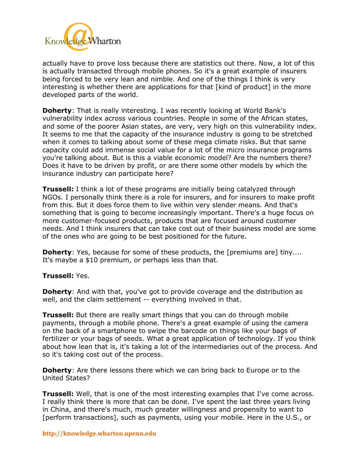

actually have to prove loss because there are statistics out there. Now, a lot of this is actually transacted through mobile phones. So it's a great example of insurers being forced to be very lean and nimble. And one of the things I think is very interesting is whether there are applications for that [kind of product] in the more developed parts of the world.

**Doherty**: That is really interesting. I was recently looking at World Bank's vulnerability index across various countries. People in some of the African states, and some of the poorer Asian states, are very, very high on this vulnerability index. It seems to me that the capacity of the insurance industry is going to be stretched when it comes to talking about some of these mega climate risks. But that same capacity could add immense social value for a lot of the micro insurance programs you're talking about. But is this a viable economic model? Are the numbers there? Does it have to be driven by profit, or are there some other models by which the insurance industry can participate here?

**Trussell:** I think a lot of these programs are initially being catalyzed through NGOs. I personally think there is a role for insurers, and for insurers to make profit from this. But it does force them to live within very slender means. And that's something that is going to become increasingly important. There's a huge focus on more customer-focused products, products that are focused around customer needs. And I think insurers that can take cost out of their business model are some of the ones who are going to be best positioned for the future.

**Doherty**: Yes, because for some of these products, the [premiums are] tiny.... It's maybe a \$10 premium, or perhaps less than that.

## **Trussell:** Yes.

**Doherty**: And with that, you've got to provide coverage and the distribution as well, and the claim settlement -- everything involved in that.

**Trussell:** But there are really smart things that you can do through mobile payments, through a mobile phone. There's a great example of using the camera on the back of a smartphone to swipe the barcode on things like your bags of fertilizer or your bags of seeds. What a great application of technology. If you think about how lean that is, it's taking a lot of the intermediaries out of the process. And so it's taking cost out of the process.

**Doherty**: Are there lessons there which we can bring back to Europe or to the United States?

**Trussell:** Well, that is one of the most interesting examples that I've come across. I really think there is more that can be done. I've spent the last three years living in China, and there's much, much greater willingness and propensity to want to [perform transactions], such as payments, using your mobile. Here in the U.S., or